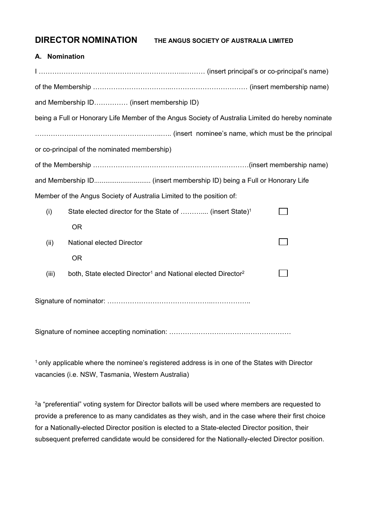**DIRECTOR NOMINATION THE ANGUS SOCIETY OF AUSTRALIA LIMITED**

# **A. Nomination**

|       | and Membership ID (insert membership ID)                                                          |  |
|-------|---------------------------------------------------------------------------------------------------|--|
|       | being a Full or Honorary Life Member of the Angus Society of Australia Limited do hereby nominate |  |
|       |                                                                                                   |  |
|       | or co-principal of the nominated membership)                                                      |  |
|       |                                                                                                   |  |
|       |                                                                                                   |  |
|       | Member of the Angus Society of Australia Limited to the position of:                              |  |
| (i)   | State elected director for the State of  (insert State) <sup>1</sup>                              |  |
|       | <b>OR</b>                                                                                         |  |
| (ii)  | National elected Director                                                                         |  |
|       | <b>OR</b>                                                                                         |  |
| (iii) | both, State elected Director <sup>1</sup> and National elected Director <sup>2</sup>              |  |
|       |                                                                                                   |  |
|       |                                                                                                   |  |

<sup>1</sup> only applicable where the nominee's registered address is in one of the States with Director vacancies (i.e. NSW, Tasmania, Western Australia)

<sup>2</sup>a "preferential" voting system for Director ballots will be used where members are requested to provide a preference to as many candidates as they wish, and in the case where their first choice for a Nationally-elected Director position is elected to a State-elected Director position, their subsequent preferred candidate would be considered for the Nationally-elected Director position.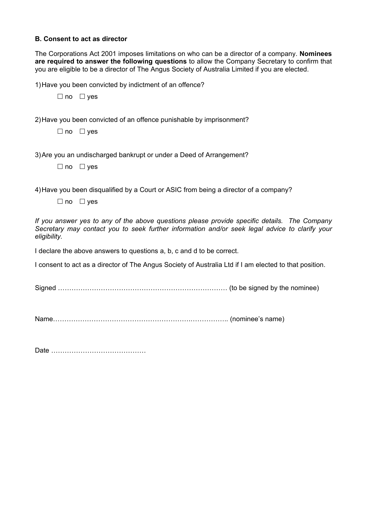## **B. Consent to act as director**

The Corporations Act 2001 imposes limitations on who can be a director of a company. **Nominees are required to answer the following questions** to allow the Company Secretary to confirm that you are eligible to be a director of The Angus Society of Australia Limited if you are elected.

1)Have you been convicted by indictment of an offence?

 $\Box$  no  $\Box$  yes

2)Have you been convicted of an offence punishable by imprisonment?

 $\Box$  no  $\Box$  ves

3)Are you an undischarged bankrupt or under a Deed of Arrangement?

 $\Box$  no  $\Box$  yes

4)Have you been disqualified by a Court or ASIC from being a director of a company?

 $\Box$  no  $\Box$  yes

*If you answer yes to any of the above questions please provide specific details. The Company Secretary may contact you to seek further information and/or seek legal advice to clarify your eligibility.*

I declare the above answers to questions a, b, c and d to be correct.

I consent to act as a director of The Angus Society of Australia Ltd if I am elected to that position.

Signed ………………………………………………………………… (to be signed by the nominee)

Name…………………………………………………….…………….. (nominee's name)

Date ……………………………………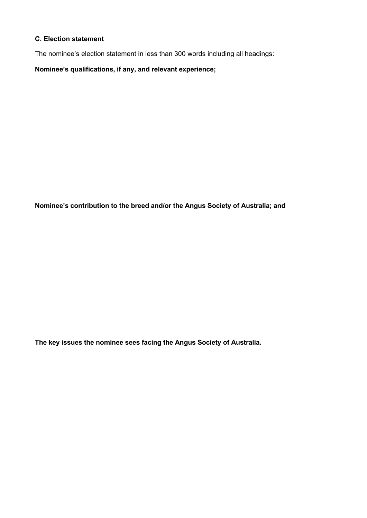# **C. Election statement**

The nominee's election statement in less than 300 words including all headings:

**Nominee's qualifications, if any, and relevant experience;** 

**Nominee's contribution to the breed and/or the Angus Society of Australia; and**

**The key issues the nominee sees facing the Angus Society of Australia.**